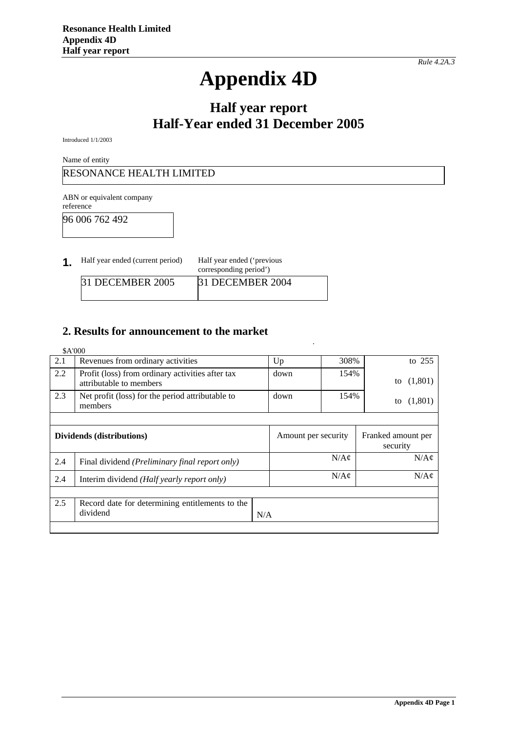# **Appendix 4D**

# **Half year report Half-Year ended 31 December 2005**

Introduced 1/1/2003

Name of entity

RESONANCE HEALTH LIMITED

ABN or equivalent company reference

96 006 762 492

|  | Half year ended (current period) | Half year ended ('previous<br>corresponding period') |  |
|--|----------------------------------|------------------------------------------------------|--|
|--|----------------------------------|------------------------------------------------------|--|

|                  | corresponding period') |  |
|------------------|------------------------|--|
| 31 DECEMBER 2005 | 31 DECEMBER 2004       |  |
|                  |                        |  |

#### **2. Results for announcement to the market**

|                                                            | \$A'000                                                                     |      |                                      |                                |
|------------------------------------------------------------|-----------------------------------------------------------------------------|------|--------------------------------------|--------------------------------|
| 2.1                                                        | Revenues from ordinary activities                                           | Up   | 308%                                 | to $255$                       |
| 2.2                                                        | Profit (loss) from ordinary activities after tax<br>attributable to members | down | 154%                                 | (1,801)<br>to                  |
| 2.3                                                        | Net profit (loss) for the period attributable to<br>members                 | down | 154%                                 | (1,801)<br>to                  |
|                                                            |                                                                             |      |                                      |                                |
|                                                            | Dividends (distributions)                                                   |      | Amount per security                  | Franked amount per<br>security |
| 2.4                                                        | Final dividend (Preliminary final report only)                              |      | $N/A\mathcal{C}$                     | $N/A\mathcal{C}$               |
| 2.4<br>Interim dividend ( <i>Half yearly report only</i> ) |                                                                             |      | $N/A\mathcal{C}$<br>$N/A\mathcal{C}$ |                                |
|                                                            |                                                                             |      |                                      |                                |
| 2.5                                                        | Record date for determining entitlements to the<br>dividend                 | N/A  |                                      |                                |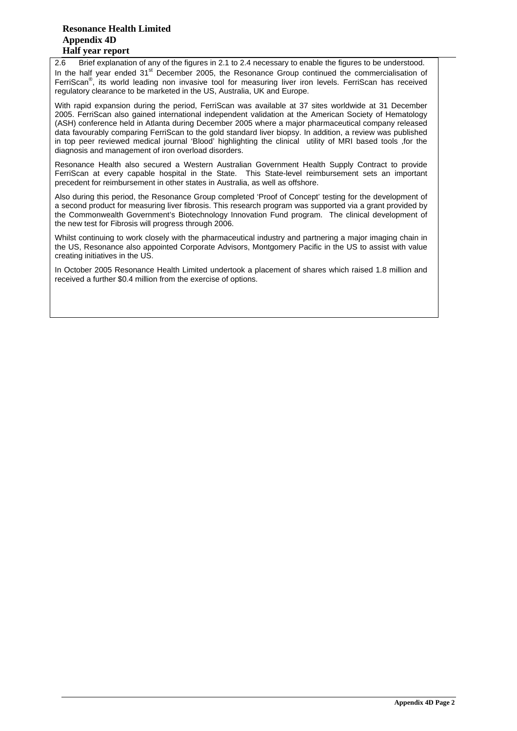#### **Resonance Health Limited Appendix 4D Half year report**

2.6 Brief explanation of any of the figures in 2.1 to 2.4 necessary to enable the figures to be understood. In the half year ended 31<sup>st</sup> December 2005, the Resonance Group continued the commercialisation of FerriScan<sup>®</sup>, its world leading non invasive tool for measuring liver iron levels. FerriScan has received regulatory clearance to be marketed in the US, Australia, UK and Europe.

With rapid expansion during the period, FerriScan was available at 37 sites worldwide at 31 December 2005. FerriScan also gained international independent validation at the American Society of Hematology (ASH) conference held in Atlanta during December 2005 where a major pharmaceutical company released data favourably comparing FerriScan to the gold standard liver biopsy. In addition, a review was published in top peer reviewed medical journal 'Blood' highlighting the clinical utility of MRI based tools ,for the diagnosis and management of iron overload disorders.

Resonance Health also secured a Western Australian Government Health Supply Contract to provide FerriScan at every capable hospital in the State. This State-level reimbursement sets an important precedent for reimbursement in other states in Australia, as well as offshore.

Also during this period, the Resonance Group completed 'Proof of Concept' testing for the development of a second product for measuring liver fibrosis. This research program was supported via a grant provided by the Commonwealth Government's Biotechnology Innovation Fund program. The clinical development of the new test for Fibrosis will progress through 2006.

Whilst continuing to work closely with the pharmaceutical industry and partnering a major imaging chain in the US, Resonance also appointed Corporate Advisors, Montgomery Pacific in the US to assist with value creating initiatives in the US.

In October 2005 Resonance Health Limited undertook a placement of shares which raised 1.8 million and received a further \$0.4 million from the exercise of options.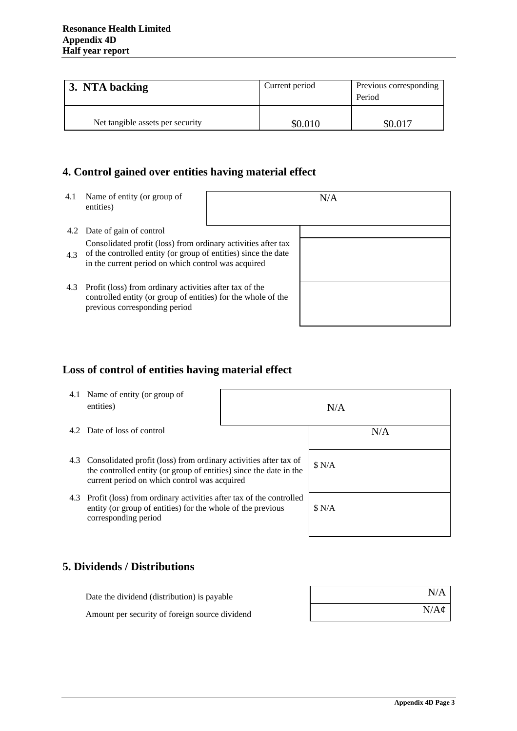| 3. NTA backing |                                  | Current period | Previous corresponding<br>Period |
|----------------|----------------------------------|----------------|----------------------------------|
|                | Net tangible assets per security | \$0.010        | \$0.017                          |

# **4. Control gained over entities having material effect**

| 4.1 | Name of entity (or group of<br>entities)                                                                                                                                               |  | N/A |
|-----|----------------------------------------------------------------------------------------------------------------------------------------------------------------------------------------|--|-----|
|     | 4.2 Date of gain of control                                                                                                                                                            |  |     |
| 4.3 | Consolidated profit (loss) from ordinary activities after tax<br>of the controlled entity (or group of entities) since the date<br>in the current period on which control was acquired |  |     |
| 4.3 | Profit (loss) from ordinary activities after tax of the<br>controlled entity (or group of entities) for the whole of the<br>previous corresponding period                              |  |     |

# **Loss of control of entities having material effect**

| 4.1 Name of entity (or group of<br>entities)                                                                                                                                               | N/A |        |
|--------------------------------------------------------------------------------------------------------------------------------------------------------------------------------------------|-----|--------|
| 4.2 Date of loss of control                                                                                                                                                                |     | N/A    |
| 4.3 Consolidated profit (loss) from ordinary activities after tax of<br>the controlled entity (or group of entities) since the date in the<br>current period on which control was acquired |     | \$ N/A |
| 4.3 Profit (loss) from ordinary activities after tax of the controlled<br>entity (or group of entities) for the whole of the previous<br>corresponding period                              |     | \$ N/A |

### **5. Dividends / Distributions**

| Date the dividend (distribution) is payable    | N/A              |
|------------------------------------------------|------------------|
| Amount per security of foreign source dividend | $N/A\mathcal{C}$ |